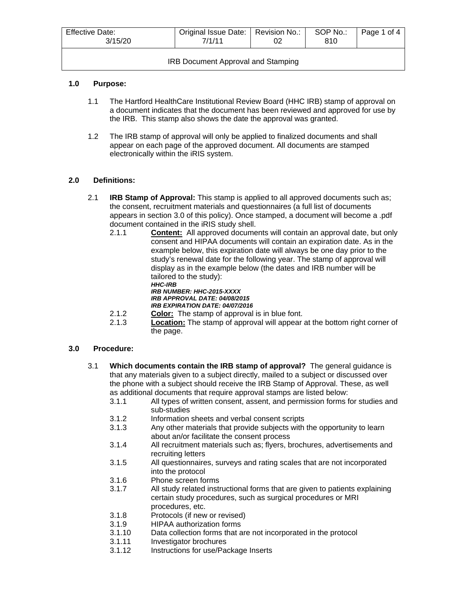| <b>Effective Date:</b><br>3/15/20         | Original Issue Date:   Revision No.:<br>7/1/11 |  | SOP No.:<br>810 | Page 1 of 4 |  |
|-------------------------------------------|------------------------------------------------|--|-----------------|-------------|--|
| <b>IRB Document Approval and Stamping</b> |                                                |  |                 |             |  |

## **1.0 Purpose:**

- 1.1 The Hartford HealthCare Institutional Review Board (HHC IRB) stamp of approval on a document indicates that the document has been reviewed and approved for use by the IRB. This stamp also shows the date the approval was granted.
- 1.2 The IRB stamp of approval will only be applied to finalized documents and shall appear on each page of the approved document. All documents are stamped electronically within the iRIS system.

## **2.0 Definitions:**

- 2.1 **IRB Stamp of Approval:** This stamp is applied to all approved documents such as; the consent, recruitment materials and questionnaires (a full list of documents appears in section 3.0 of this policy). Once stamped, a document will become a .pdf document contained in the iRIS study shell.
	- 2.1.1 **Content:** All approved documents will contain an approval date, but only consent and HIPAA documents will contain an expiration date. As in the example below, this expiration date will always be one day prior to the study's renewal date for the following year. The stamp of approval will display as in the example below (the dates and IRB number will be tailored to the study): *HHC-IRB IRB NUMBER: HHC-2015-XXXX*
		- *IRB APPROVAL DATE: 04/08/2015*
		- *IRB EXPIRATION DATE: 04/07/2016*
	- 2.1.2 **Color:** The stamp of approval is in blue font.<br>2.1.3 **Location:** The stamp of approval will appear
	- **Location:** The stamp of approval will appear at the bottom right corner of the page.

## **3.0 Procedure:**

- 3.1 **Which documents contain the IRB stamp of approval?** The general guidance is that any materials given to a subject directly, mailed to a subject or discussed over the phone with a subject should receive the IRB Stamp of Approval. These, as well as additional documents that require approval stamps are listed below:
	- 3.1.1 All types of written consent, assent, and permission forms for studies and sub-studies
	- 3.1.2 Information sheets and verbal consent scripts<br>3.1.3 Any other materials that provide subjects with
	- Any other materials that provide subjects with the opportunity to learn about an/or facilitate the consent process
	- 3.1.4 All recruitment materials such as; flyers, brochures, advertisements and recruiting letters
	- 3.1.5 All questionnaires, surveys and rating scales that are not incorporated into the protocol
	- 3.1.6 Phone screen forms
	- 3.1.7 All study related instructional forms that are given to patients explaining certain study procedures, such as surgical procedures or MRI procedures, etc.
	- 3.1.8 Protocols (if new or revised)
	- 3.1.9 HIPAA authorization forms
	- Data collection forms that are not incorporated in the protocol
	- 3.1.11 Investigator brochures
	- 3.1.12 Instructions for use/Package Inserts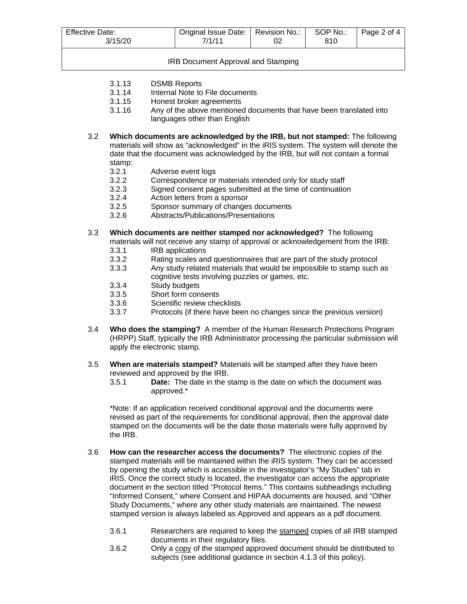| <b>Effective Date:</b><br>3/15/20 | Original Issue Date:   Revision No.:<br>7/1/11 | SOP No.:<br>810 | Page 2 of 4 |
|-----------------------------------|------------------------------------------------|-----------------|-------------|
|                                   |                                                |                 |             |

IRB Document Approval and Stamping

- 3.1.13 DSMB Reports<br>3.1.14 Internal Note to
- Internal Note to File documents
- 3.1.15 Honest broker agreements
- 3.1.16 Any of the above mentioned documents that have been translated into languages other than English
- 3.2 **Which documents are acknowledged by the IRB, but not stamped:** The following materials will show as "acknowledged" in the iRIS system. The system will denote the date that the document was acknowledged by the IRB, but will not contain a formal stamp:<br> $3.2.1$ 
	- 3.2.1 Adverse event logs<br>3.2.2 Correspondence or
	- Correspondence or materials intended only for study staff
	- 3.2.3 Signed consent pages submitted at the time of continuation<br>3.2.4 Action letters from a sponsor
	- Action letters from a sponsor
	- 3.2.5 Sponsor summary of changes documents
	- 3.2.6 Abstracts/Publications/Presentations
- 3.3 **Which documents are neither stamped nor acknowledged?** The following materials will not receive any stamp of approval or acknowledgement from the IRB:
	- 3.3.1 IRB applications
	- 3.3.2 Rating scales and questionnaires that are part of the study protocol<br>3.3.3 Any study related materials that would be impossible to stamp such
	- Any study related materials that would be impossible to stamp such as cognitive tests involving puzzles or games, etc.
	- 3.3.4 Study budgets<br>3.3.5 Short form con
	- Short form consents
	- 3.3.6 Scientific review checklists
	- 3.3.7 Protocols (if there have been no changes since the previous version)
- 3.4 **Who does the stamping?** A member of the Human Research Protections Program (HRPP) Staff, typically the IRB Administrator processing the particular submission will apply the electronic stamp.
- 3.5 **When are materials stamped?** Materials will be stamped after they have been reviewed and approved by the IRB.
	- 3.5.1 **Date:** The date in the stamp is the date on which the document was approved.\*

\*Note: If an application received conditional approval and the documents were revised as part of the requirements for conditional approval, then the approval date stamped on the documents will be the date those materials were fully approved by the IRB.

- 3.6 **How can the researcher access the documents?** The electronic copies of the stamped materials will be maintained within the iRIS system. They can be accessed by opening the study which is accessible in the investigator's "My Studies" tab in iRIS. Once the correct study is located, the investigator can access the appropriate document in the section titled "Protocol Items." This contains subheadings including "Informed Consent," where Consent and HIPAA documents are housed, and "Other Study Documents," where any other study materials are maintained. The newest stamped version is always labeled as Approved and appears as a pdf document.
	- 3.6.1 Researchers are required to keep the stamped copies of all IRB stamped documents in their regulatory files.
	- 3.6.2 Only a copy of the stamped approved document should be distributed to subjects (see additional guidance in section 4.1.3 of this policy).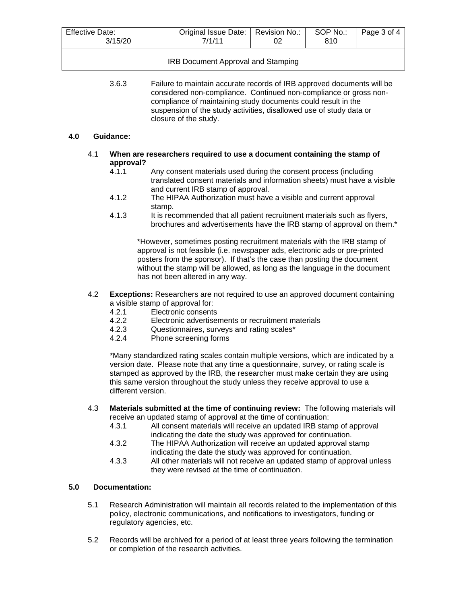| <b>Effective Date:</b><br>3/15/20 | Original Issue Date:   Revision No.:<br>7/1/11 | SOP No.: | Page 3 of 4 |
|-----------------------------------|------------------------------------------------|----------|-------------|
|                                   |                                                |          |             |

IRB Document Approval and Stamping

3.6.3 Failure to maintain accurate records of IRB approved documents will be considered non-compliance. Continued non-compliance or gross noncompliance of maintaining study documents could result in the suspension of the study activities, disallowed use of study data or closure of the study.

#### **4.0 Guidance:**

- 4.1 **When are researchers required to use a document containing the stamp of approval?**
	- Any consent materials used during the consent process (including translated consent materials and information sheets) must have a visible and current IRB stamp of approval.
	- 4.1.2 The HIPAA Authorization must have a visible and current approval stamp.
	- 4.1.3 It is recommended that all patient recruitment materials such as flyers, brochures and advertisements have the IRB stamp of approval on them.\*

\*However, sometimes posting recruitment materials with the IRB stamp of approval is not feasible (i.e. newspaper ads, electronic ads or pre-printed posters from the sponsor). If that's the case than posting the document without the stamp will be allowed, as long as the language in the document has not been altered in any way.

- 4.2 **Exceptions:** Researchers are not required to use an approved document containing a visible stamp of approval for:
	- 4.2.1 Electronic consents<br>4.2.2 Electronic advertise
	- 4.2.2 Electronic advertisements or recruitment materials<br>4.2.3 Questionnaires, surveys and rating scales\*
	- Questionnaires, surveys and rating scales\*
	- 4.2.4 Phone screening forms

\*Many standardized rating scales contain multiple versions, which are indicated by a version date. Please note that any time a questionnaire, survey, or rating scale is stamped as approved by the IRB, the researcher must make certain they are using this same version throughout the study unless they receive approval to use a different version.

- 4.3 **Materials submitted at the time of continuing review:** The following materials will receive an updated stamp of approval at the time of continuation:<br>4.3.1 All consent materials will receive an updated IRB star
	- All consent materials will receive an updated IRB stamp of approval indicating the date the study was approved for continuation.
	- 4.3.2 The HIPAA Authorization will receive an updated approval stamp indicating the date the study was approved for continuation.
	- 4.3.3 All other materials will not receive an updated stamp of approval unless they were revised at the time of continuation.

## **5.0 Documentation:**

- 5.1 Research Administration will maintain all records related to the implementation of this policy, electronic communications, and notifications to investigators, funding or regulatory agencies, etc.
- 5.2 Records will be archived for a period of at least three years following the termination or completion of the research activities.